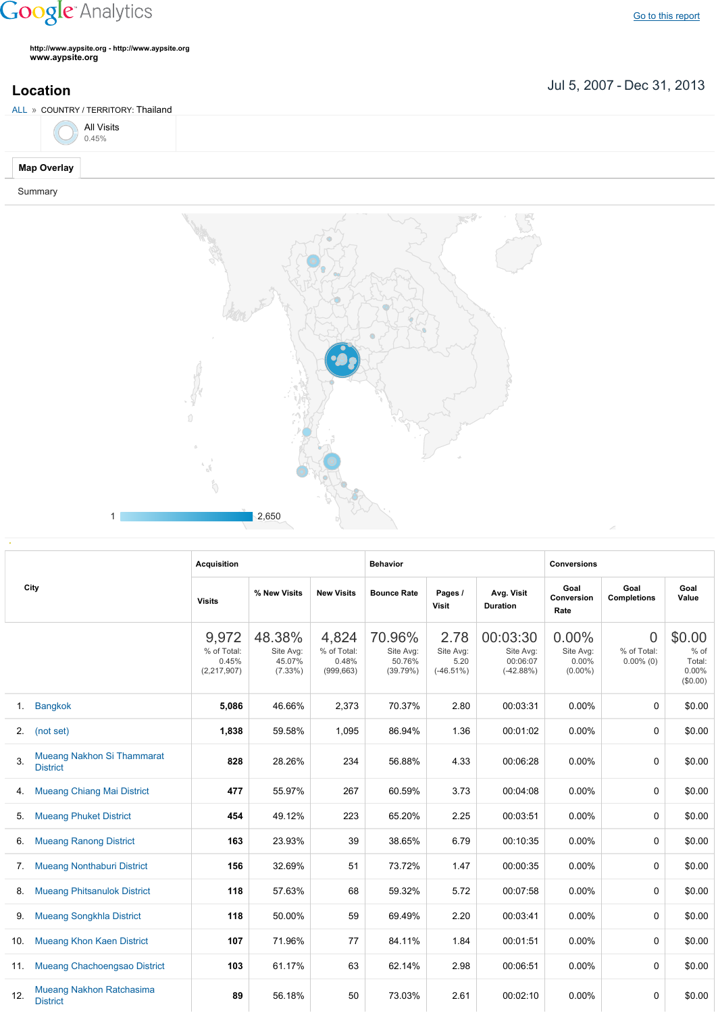## **Google** Analytics

**http://www.aypsite.org http://www.aypsite.org www.aypsite.org**

**Location** Jul 5, 2007 - Dec 31, 2013

| ALL » COUNTRY / TERRITORY: Thailand |                    |                     |  |  |  |  |  |  |
|-------------------------------------|--------------------|---------------------|--|--|--|--|--|--|
|                                     |                    | All Visits<br>0.45% |  |  |  |  |  |  |
|                                     | <b>Map Overlay</b> |                     |  |  |  |  |  |  |
|                                     | Summary            |                     |  |  |  |  |  |  |



| City |                                                    | <b>Acquisition</b>                             |                                             |                                             | <b>Behavior</b>                           |                                           |                                                  | <b>Conversions</b>                           |                                               |                                               |
|------|----------------------------------------------------|------------------------------------------------|---------------------------------------------|---------------------------------------------|-------------------------------------------|-------------------------------------------|--------------------------------------------------|----------------------------------------------|-----------------------------------------------|-----------------------------------------------|
|      |                                                    | <b>Visits</b>                                  | % New Visits                                | <b>New Visits</b>                           | <b>Bounce Rate</b>                        | Pages /<br>Visit                          | Avg. Visit<br><b>Duration</b>                    | Goal<br>Conversion<br>Rate                   | Goal<br><b>Completions</b>                    | Goal<br>Value                                 |
|      |                                                    | 9,972<br>% of Total:<br>0.45%<br>(2, 217, 907) | 48.38%<br>Site Avg:<br>45.07%<br>$(7.33\%)$ | 4,824<br>% of Total:<br>0.48%<br>(999, 663) | 70.96%<br>Site Avg:<br>50.76%<br>(39.79%) | 2.78<br>Site Avg:<br>5.20<br>$(-46.51\%)$ | 00:03:30<br>Site Avg:<br>00:06:07<br>$(-42.88%)$ | 0.00%<br>Site Avg:<br>$0.00\%$<br>$(0.00\%)$ | $\overline{0}$<br>% of Total:<br>$0.00\%$ (0) | \$0.00<br>% of<br>Total:<br>0.00%<br>(\$0.00) |
| 1.   | <b>Bangkok</b>                                     | 5,086                                          | 46.66%                                      | 2,373                                       | 70.37%                                    | 2.80                                      | 00:03:31                                         | 0.00%                                        | 0                                             | \$0.00                                        |
| 2.   | (not set)                                          | 1,838                                          | 59.58%                                      | 1,095                                       | 86.94%                                    | 1.36                                      | 00:01:02                                         | 0.00%                                        | 0                                             | \$0.00                                        |
| 3.   | Mueang Nakhon Si Thammarat<br><b>District</b>      | 828                                            | 28.26%                                      | 234                                         | 56.88%                                    | 4.33                                      | 00:06:28                                         | $0.00\%$                                     | 0                                             | \$0.00                                        |
| 4.   | <b>Mueang Chiang Mai District</b>                  | 477                                            | 55.97%                                      | 267                                         | 60.59%                                    | 3.73                                      | 00:04:08                                         | 0.00%                                        | 0                                             | \$0.00                                        |
| 5.   | <b>Mueang Phuket District</b>                      | 454                                            | 49.12%                                      | 223                                         | 65.20%                                    | 2.25                                      | 00:03:51                                         | 0.00%                                        | 0                                             | \$0.00                                        |
| 6.   | <b>Mueang Ranong District</b>                      | 163                                            | 23.93%                                      | 39                                          | 38.65%                                    | 6.79                                      | 00:10:35                                         | 0.00%                                        | 0                                             | \$0.00                                        |
| 7.   | <b>Mueang Nonthaburi District</b>                  | 156                                            | 32.69%                                      | 51                                          | 73.72%                                    | 1.47                                      | 00:00:35                                         | 0.00%                                        | 0                                             | \$0.00                                        |
| 8.   | <b>Mueang Phitsanulok District</b>                 | 118                                            | 57.63%                                      | 68                                          | 59.32%                                    | 5.72                                      | 00:07:58                                         | 0.00%                                        | 0                                             | \$0.00                                        |
| 9.   | <b>Mueang Songkhla District</b>                    | 118                                            | 50.00%                                      | 59                                          | 69.49%                                    | 2.20                                      | 00:03:41                                         | 0.00%                                        | 0                                             | \$0.00                                        |
| 10.  | <b>Mueang Khon Kaen District</b>                   | 107                                            | 71.96%                                      | 77                                          | 84.11%                                    | 1.84                                      | 00:01:51                                         | 0.00%                                        | 0                                             | \$0.00                                        |
| 11.  | Mueang Chachoengsao District                       | 103                                            | 61.17%                                      | 63                                          | 62.14%                                    | 2.98                                      | 00:06:51                                         | 0.00%                                        | 0                                             | \$0.00                                        |
| 12.  | <b>Mueang Nakhon Ratchasima</b><br><b>District</b> | 89                                             | 56.18%                                      | 50                                          | 73.03%                                    | 2.61                                      | 00:02:10                                         | 0.00%                                        | 0                                             | \$0.00                                        |